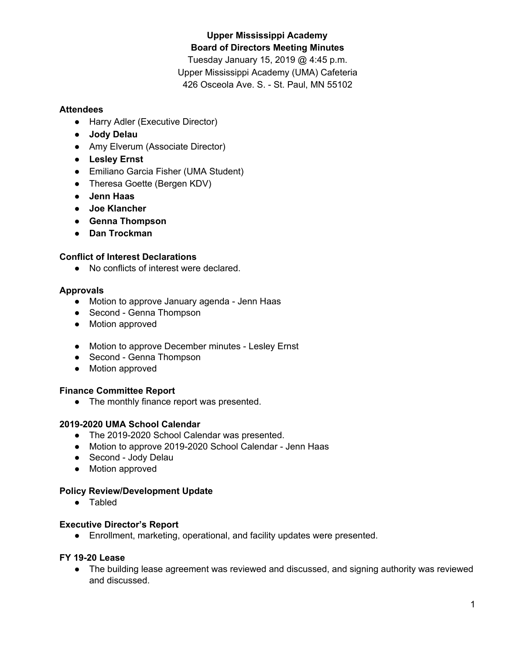# **Upper Mississippi Academy Board of Directors Meeting Minutes**

Tuesday January 15, 2019 @ 4:45 p.m. Upper Mississippi Academy (UMA) Cafeteria 426 Osceola Ave. S. - St. Paul, MN 55102

#### **Attendees**

- Harry Adler (Executive Director)
- **● Jody Delau**
- Amy Elverum (Associate Director)
- **● Lesley Ernst**
- Emiliano Garcia Fisher (UMA Student)
- Theresa Goette (Bergen KDV)
- **● Jenn Haas**
- **● Joe Klancher**
- **● Genna Thompson**
- **● Dan Trockman**

#### **Conflict of Interest Declarations**

● No conflicts of interest were declared.

#### **Approvals**

- Motion to approve January agenda Jenn Haas
- Second Genna Thompson
- Motion approved
- Motion to approve December minutes Lesley Ernst
- Second Genna Thompson
- Motion approved

## **Finance Committee Report**

● The monthly finance report was presented.

#### **2019-2020 UMA School Calendar**

- The 2019-2020 School Calendar was presented.
- Motion to approve 2019-2020 School Calendar Jenn Haas
- Second Jody Delau
- Motion approved

## **Policy Review/Development Update**

● Tabled

## **Executive Director's Report**

● Enrollment, marketing, operational, and facility updates were presented.

#### **FY 19-20 Lease**

• The building lease agreement was reviewed and discussed, and signing authority was reviewed and discussed.